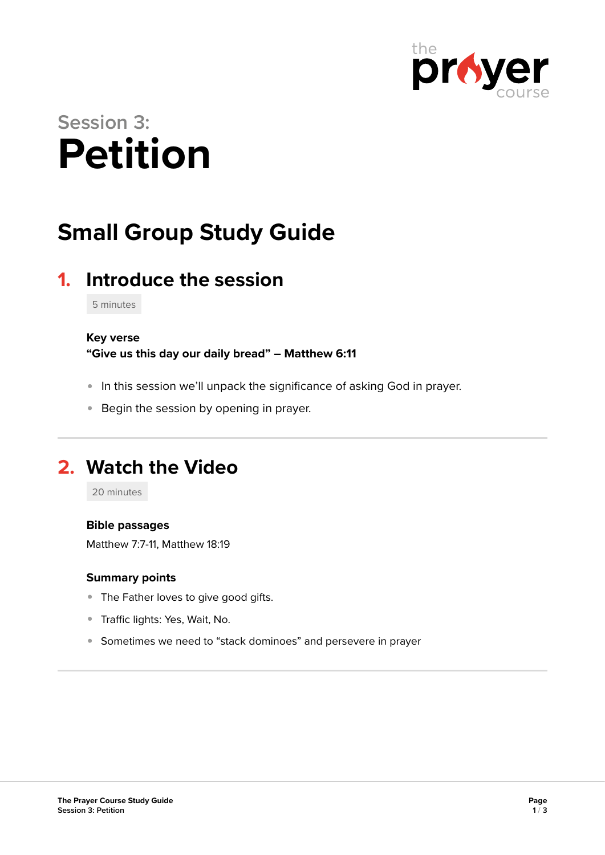

# **Session 3: Petition**

## **Small Group Study Guide**

### **1. Introduce the session**

5 minutes

#### **Key verse**

**"Give us this day our daily bread" – Matthew 6:11** 

- In this session we'll unpack the significance of asking God in prayer.
- **Begin the session by opening in prayer.**

### **2. Watch the Video**

20 minutes

#### **Bible passages**

Matthew 7:7-11, Matthew 18:19

#### **Summary points**

- The Father loves to give good gifts.
- Traffic lights: Yes, Wait, No.
- Sometimes we need to "stack dominoes" and persevere in prayer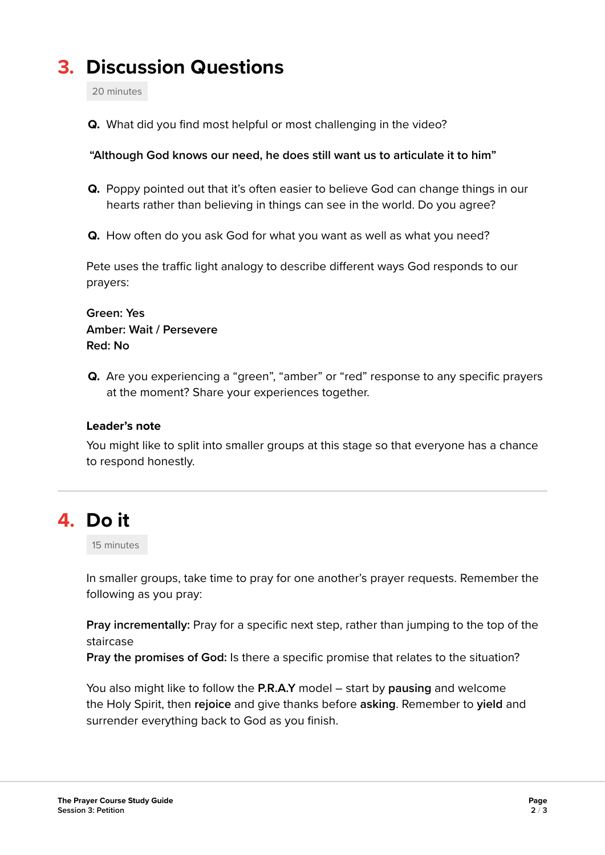### **3. Discussion Questions**

20 minutes

**Q.** What did you find most helpful or most challenging in the video?

#### **"Although God knows our need, he does still want us to articulate it to him"**

- **Q.** Poppy pointed out that it's often easier to believe God can change things in our hearts rather than believing in things can see in the world. Do you agree?
- **Q.** How often do you ask God for what you want as well as what you need?

Pete uses the traffic light analogy to describe different ways God responds to our prayers:

**Green: Yes Amber: Wait / Persevere Red: No**

**Q.** Are you experiencing a "green", "amber" or "red" response to any specific prayers at the moment? Share your experiences together.

#### **Leader's note**

You might like to split into smaller groups at this stage so that everyone has a chance to respond honestly.

### **4. Do it**

15 minutes

In smaller groups, take time to pray for one another's prayer requests. Remember the following as you pray:

**Pray incrementally:** Pray for a specific next step, rather than jumping to the top of the staircase

**Pray the promises of God:** Is there a specific promise that relates to the situation?

You also might like to follow the **P.R.A.Y** model – start by **pausing** and welcome the Holy Spirit, then **rejoice** and give thanks before **asking**. Remember to **yield** and surrender everything back to God as you finish.